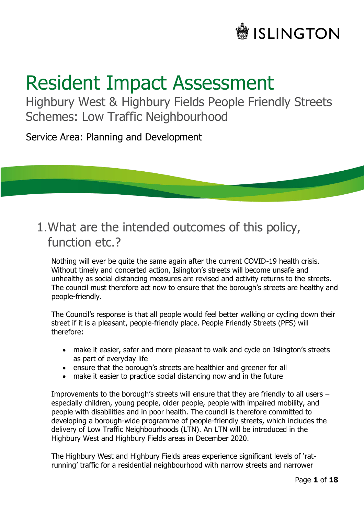

# Resident Impact Assessment

Highbury West & Highbury Fields People Friendly Streets Schemes: Low Traffic Neighbourhood

Service Area: Planning and Development

# 1.What are the intended outcomes of this policy, function etc.?

Nothing will ever be quite the same again after the current COVID-19 health crisis. Without timely and concerted action, Islington's streets will become unsafe and unhealthy as social distancing measures are revised and activity returns to the streets. The council must therefore act now to ensure that the borough's streets are healthy and people-friendly.

The Council's response is that all people would feel better walking or cycling down their street if it is a pleasant, people-friendly place. People Friendly Streets (PFS) will therefore:

- make it easier, safer and more pleasant to walk and cycle on Islington's streets as part of everyday life
- ensure that the borough's streets are healthier and greener for all
- make it easier to practice social distancing now and in the future

Improvements to the borough's streets will ensure that they are friendly to all users – especially children, young people, older people, people with impaired mobility, and people with disabilities and in poor health. The council is therefore committed to developing a borough-wide programme of people-friendly streets, which includes the delivery of Low Traffic Neighbourhoods (LTN). An LTN will be introduced in the Highbury West and Highbury Fields areas in December 2020.

The Highbury West and Highbury Fields areas experience significant levels of 'ratrunning' traffic for a residential neighbourhood with narrow streets and narrower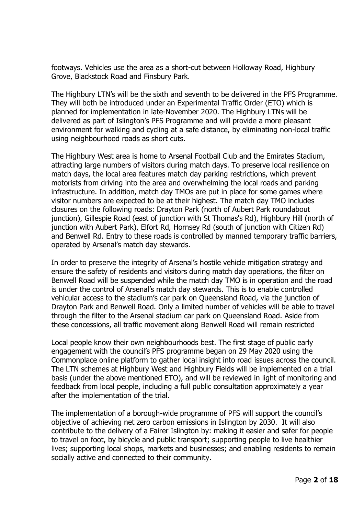footways. Vehicles use the area as a short-cut between Holloway Road, Highbury Grove, Blackstock Road and Finsbury Park.

The Highbury LTN's will be the sixth and seventh to be delivered in the PFS Programme. They will both be introduced under an Experimental Traffic Order (ETO) which is planned for implementation in late-November 2020. The Highbury LTNs will be delivered as part of Islington's PFS Programme and will provide a more pleasant environment for walking and cycling at a safe distance, by eliminating non-local traffic using neighbourhood roads as short cuts.

The Highbury West area is home to Arsenal Football Club and the Emirates Stadium, attracting large numbers of visitors during match days. To preserve local resilience on match days, the local area features match day parking restrictions, which prevent motorists from driving into the area and overwhelming the local roads and parking infrastructure. In addition, match day TMOs are put in place for some games where visitor numbers are expected to be at their highest. The match day TMO includes closures on the following roads: Drayton Park (north of Aubert Park roundabout junction), Gillespie Road (east of junction with St Thomas's Rd), Highbury Hill (north of junction with Aubert Park), Elfort Rd, Hornsey Rd (south of junction with Citizen Rd) and Benwell Rd. Entry to these roads is controlled by manned temporary traffic barriers, operated by Arsenal's match day stewards.

In order to preserve the integrity of Arsenal's hostile vehicle mitigation strategy and ensure the safety of residents and visitors during match day operations, the filter on Benwell Road will be suspended while the match day TMO is in operation and the road is under the control of Arsenal's match day stewards. This is to enable controlled vehicular access to the stadium's car park on Queensland Road, via the junction of Drayton Park and Benwell Road. Only a limited number of vehicles will be able to travel through the filter to the Arsenal stadium car park on Queensland Road. Aside from these concessions, all traffic movement along Benwell Road will remain restricted

Local people know their own neighbourhoods best. The first stage of public early engagement with the council's PFS programme began on 29 May 2020 using the Commonplace online platform to gather local insight into road issues across the council. The LTN schemes at Highbury West and Highbury Fields will be implemented on a trial basis (under the above mentioned ETO), and will be reviewed in light of monitoring and feedback from local people, including a full public consultation approximately a year after the implementation of the trial.

The implementation of a borough-wide programme of PFS will support the council's objective of achieving net zero carbon emissions in Islington by 2030. It will also contribute to the delivery of a Fairer Islington by: making it easier and safer for people to travel on foot, by bicycle and public transport; supporting people to live healthier lives; supporting local shops, markets and businesses; and enabling residents to remain socially active and connected to their community.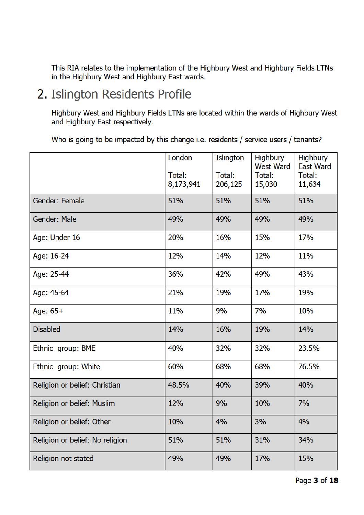This RIA relates to the implementation of the Highbury West and Highbury Fields LTNs in the Highbury West and Highbury East wards.

# 2. Islington Residents Profile

Highbury West and Highbury Fields LTNs are located within the wards of Highbury West and Highbury East respectively.

Who is going to be impacted by this change i.e. residents / service users / tenants?

|                                 | London              | Islington         | <b>Highbury</b><br><b>West Ward</b> | <b>Highbury</b><br><b>East Ward</b> |
|---------------------------------|---------------------|-------------------|-------------------------------------|-------------------------------------|
|                                 | Total:<br>8,173,941 | Total:<br>206,125 | Total:<br>15,030                    | Total:<br>11,634                    |
| Gender: Female                  | 51%                 | 51%               | 51%                                 | 51%                                 |
| Gender: Male                    | 49%                 | 49%               | 49%                                 | 49%                                 |
| Age: Under 16                   | 20%                 | 16%               | 15%                                 | 17%                                 |
| Age: 16-24                      | 12%                 | 14%               | 12%                                 | 11%                                 |
| Age: 25-44                      | 36%                 | 42%               | 49%                                 | 43%                                 |
| Age: 45-64                      | 21%                 | 19%               | 17%                                 | 19%                                 |
| Age: $65+$                      | 11%                 | 9%                | 7%                                  | 10%                                 |
| <b>Disabled</b>                 | 14%                 | 16%               | 19%                                 | 14%                                 |
| Ethnic group: BME               | 40%                 | 32%               | 32%                                 | 23.5%                               |
| Ethnic group: White             | 60%                 | 68%               | 68%                                 | 76.5%                               |
| Religion or belief: Christian   | 48.5%               | 40%               | 39%                                 | 40%                                 |
| Religion or belief: Muslim      | 12%                 | 9%                | 10%                                 | 7%                                  |
| Religion or belief: Other       | 10%                 | 4%                | 3%                                  | 4%                                  |
| Religion or belief: No religion | 51%                 | 51%               | 31%                                 | 34%                                 |
| Religion not stated             | 49%                 | 49%               | 17%                                 | 15%                                 |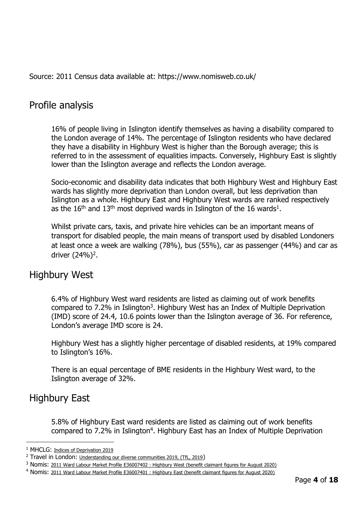Source: 2011 Census data available at: https://www.nomisweb.co.uk/

# Profile analysis

16% of people living in Islington identify themselves as having a disability compared to the London average of 14%. The percentage of Islington residents who have declared they have a disability in Highbury West is higher than the Borough average; this is referred to in the assessment of equalities impacts. Conversely, Highbury East is slightly lower than the Islington average and reflects the London average.

Socio-economic and disability data indicates that both Highbury West and Highbury East wards has slightly more deprivation than London overall, but less deprivation than Islington as a whole. Highbury East and Highbury West wards are ranked respectively as the 16<sup>th</sup> and 13<sup>th</sup> most deprived wards in Islington of the 16 wards<sup>1</sup>.

Whilst private cars, taxis, and private hire vehicles can be an important means of transport for disabled people, the main means of transport used by disabled Londoners at least once a week are walking (78%), bus (55%), car as passenger (44%) and car as driver (24%)<sup>2</sup>.

# Highbury West

6.4% of Highbury West ward residents are listed as claiming out of work benefits compared to 7.2% in Islington<sup>3</sup>. Highbury West has an Index of Multiple Deprivation (IMD) score of 24.4, 10.6 points lower than the Islington average of 36. For reference, London's average IMD score is 24.

Highbury West has a slightly higher percentage of disabled residents, at 19% compared to Islington's 16%.

There is an equal percentage of BME residents in the Highbury West ward, to the Islington average of 32%.

# Highbury East

5.8% of Highbury East ward residents are listed as claiming out of work benefits compared to 7.2% in Islington<sup>4</sup>. Highbury East has an Index of Multiple Deprivation

<sup>&</sup>lt;sup>1</sup> MHCLG: Indices of Deprivation 2019

<sup>&</sup>lt;sup>2</sup> Travel in London: Understanding our diverse communities 2019, (TfL, 2019)

<sup>&</sup>lt;sup>3</sup> Nomis: 2011 Ward Labour Market Profile E36007402 : Highbury West (benefit claimant figures for August 2020)

<sup>4</sup> Nomis: 2011 Ward Labour Market Profile E36007401 : Highbury East (benefit claimant figures for August 2020)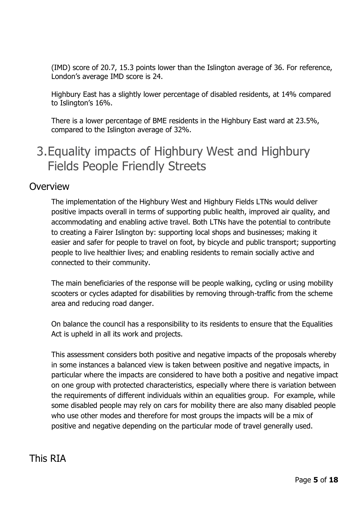(IMD) score of 20.7, 15.3 points lower than the Islington average of 36. For reference, London's average IMD score is 24.

Highbury East has a slightly lower percentage of disabled residents, at 14% compared to Islington's 16%.

There is a lower percentage of BME residents in the Highbury East ward at 23.5%, compared to the Islington average of 32%.

# 3.Equality impacts of Highbury West and Highbury Fields People Friendly Streets

#### **Overview**

The implementation of the Highbury West and Highbury Fields LTNs would deliver positive impacts overall in terms of supporting public health, improved air quality, and accommodating and enabling active travel. Both LTNs have the potential to contribute to creating a Fairer Islington by: supporting local shops and businesses; making it easier and safer for people to travel on foot, by bicycle and public transport; supporting people to live healthier lives; and enabling residents to remain socially active and connected to their community.

The main beneficiaries of the response will be people walking, cycling or using mobility scooters or cycles adapted for disabilities by removing through-traffic from the scheme area and reducing road danger.

On balance the council has a responsibility to its residents to ensure that the Equalities Act is upheld in all its work and projects.

This assessment considers both positive and negative impacts of the proposals whereby in some instances a balanced view is taken between positive and negative impacts, in particular where the impacts are considered to have both a positive and negative impact on one group with protected characteristics, especially where there is variation between the requirements of different individuals within an equalities group. For example, while some disabled people may rely on cars for mobility there are also many disabled people who use other modes and therefore for most groups the impacts will be a mix of positive and negative depending on the particular mode of travel generally used.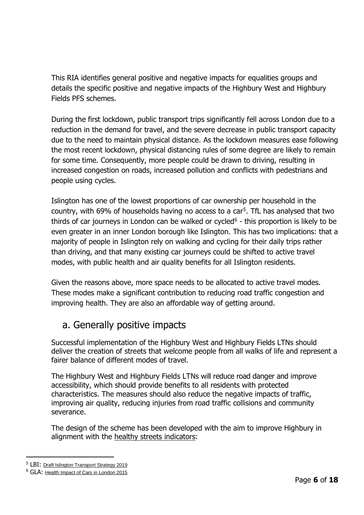This RIA identifies general positive and negative impacts for equalities groups and details the specific positive and negative impacts of the Highbury West and Highbury Fields PFS schemes.

During the first lockdown, public transport trips significantly fell across London due to a reduction in the demand for travel, and the severe decrease in public transport capacity due to the need to maintain physical distance. As the lockdown measures ease following the most recent lockdown, physical distancing rules of some degree are likely to remain for some time. Consequently, more people could be drawn to driving, resulting in increased congestion on roads, increased pollution and conflicts with pedestrians and people using cycles.

Islington has one of the lowest proportions of car ownership per household in the country, with 69% of households having no access to a car<sup>5</sup>. TfL has analysed that two thirds of car journeys in London can be walked or cycled $6$  - this proportion is likely to be even greater in an inner London borough like Islington. This has two implications: that a majority of people in Islington rely on walking and cycling for their daily trips rather than driving, and that many existing car journeys could be shifted to active travel modes, with public health and air quality benefits for all Islington residents.

Given the reasons above, more space needs to be allocated to active travel modes. These modes make a significant contribution to reducing road traffic congestion and improving health. They are also an affordable way of getting around.

# a. Generally positive impacts

Successful implementation of the Highbury West and Highbury Fields LTNs should deliver the creation of streets that welcome people from all walks of life and represent a fairer balance of different modes of travel.

The Highbury West and Highbury Fields LTNs will reduce road danger and improve accessibility, which should provide benefits to all residents with protected characteristics. The measures should also reduce the negative impacts of traffic, improving air quality, reducing injuries from road traffic collisions and community severance.

The design of the scheme has been developed with the aim to improve Highbury in alignment with the healthy streets indicators:

<sup>5</sup> LBI: Draft Islington Transport Strategy 2019

<sup>&</sup>lt;sup>6</sup> GLA: Health Impact of Cars in London 2015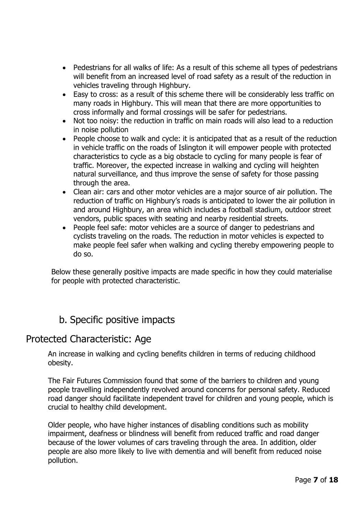- Pedestrians for all walks of life: As a result of this scheme all types of pedestrians will benefit from an increased level of road safety as a result of the reduction in vehicles traveling through Highbury.
- Easy to cross: as a result of this scheme there will be considerably less traffic on many roads in Highbury. This will mean that there are more opportunities to cross informally and formal crossings will be safer for pedestrians.
- Not too noisy: the reduction in traffic on main roads will also lead to a reduction in noise pollution
- People choose to walk and cycle: it is anticipated that as a result of the reduction in vehicle traffic on the roads of Islington it will empower people with protected characteristics to cycle as a big obstacle to cycling for many people is fear of traffic. Moreover, the expected increase in walking and cycling will heighten natural surveillance, and thus improve the sense of safety for those passing through the area.
- Clean air: cars and other motor vehicles are a major source of air pollution. The reduction of traffic on Highbury's roads is anticipated to lower the air pollution in and around Highbury, an area which includes a football stadium, outdoor street vendors, public spaces with seating and nearby residential streets.
- People feel safe: motor vehicles are a source of danger to pedestrians and cyclists traveling on the roads. The reduction in motor vehicles is expected to make people feel safer when walking and cycling thereby empowering people to do so.

Below these generally positive impacts are made specific in how they could materialise for people with protected characteristic.

# b. Specific positive impacts

### Protected Characteristic: Age

An increase in walking and cycling benefits children in terms of reducing childhood obesity.

The Fair Futures Commission found that some of the barriers to children and young people travelling independently revolved around concerns for personal safety. Reduced road danger should facilitate independent travel for children and young people, which is crucial to healthy child development.

Older people, who have higher instances of disabling conditions such as mobility impairment, deafness or blindness will benefit from reduced traffic and road danger because of the lower volumes of cars traveling through the area. In addition, older people are also more likely to live with dementia and will benefit from reduced noise pollution.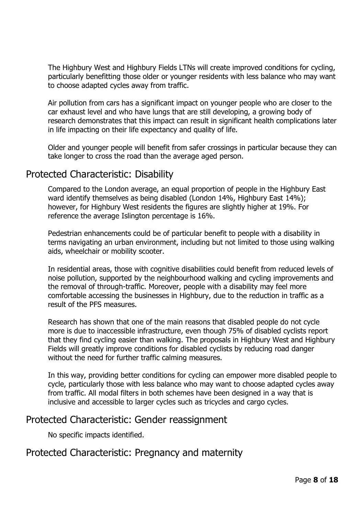The Highbury West and Highbury Fields LTNs will create improved conditions for cycling, particularly benefitting those older or younger residents with less balance who may want to choose adapted cycles away from traffic.

Air pollution from cars has a significant impact on younger people who are closer to the car exhaust level and who have lungs that are still developing, a growing body of research demonstrates that this impact can result in significant health complications later in life impacting on their life expectancy and quality of life.

Older and younger people will benefit from safer crossings in particular because they can take longer to cross the road than the average aged person.

### Protected Characteristic: Disability

Compared to the London average, an equal proportion of people in the Highbury East ward identify themselves as being disabled (London 14%, Highbury East 14%); however, for Highbury West residents the figures are slightly higher at 19%. For reference the average Islington percentage is 16%.

Pedestrian enhancements could be of particular benefit to people with a disability in terms navigating an urban environment, including but not limited to those using walking aids, wheelchair or mobility scooter.

In residential areas, those with cognitive disabilities could benefit from reduced levels of noise pollution, supported by the neighbourhood walking and cycling improvements and the removal of through-traffic. Moreover, people with a disability may feel more comfortable accessing the businesses in Highbury, due to the reduction in traffic as a result of the PFS measures.

Research has shown that one of the main reasons that disabled people do not cycle more is due to inaccessible infrastructure, even though 75% of disabled cyclists report that they find cycling easier than walking. The proposals in Highbury West and Highbury Fields will greatly improve conditions for disabled cyclists by reducing road danger without the need for further traffic calming measures.

In this way, providing better conditions for cycling can empower more disabled people to cycle, particularly those with less balance who may want to choose adapted cycles away from traffic. All modal filters in both schemes have been designed in a way that is inclusive and accessible to larger cycles such as tricycles and cargo cycles.

#### Protected Characteristic: Gender reassignment

No specific impacts identified.

### Protected Characteristic: Pregnancy and maternity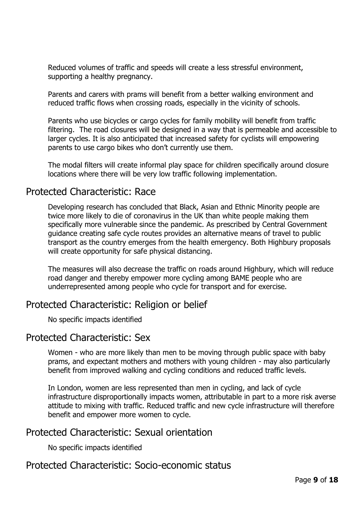Reduced volumes of traffic and speeds will create a less stressful environment, supporting a healthy pregnancy.

Parents and carers with prams will benefit from a better walking environment and reduced traffic flows when crossing roads, especially in the vicinity of schools.

Parents who use bicycles or cargo cycles for family mobility will benefit from traffic filtering. The road closures will be designed in a way that is permeable and accessible to larger cycles. It is also anticipated that increased safety for cyclists will empowering parents to use cargo bikes who don't currently use them.

The modal filters will create informal play space for children specifically around closure locations where there will be very low traffic following implementation.

#### Protected Characteristic: Race

Developing research has concluded that Black, Asian and Ethnic Minority people are twice more likely to die of coronavirus in the UK than white people making them specifically more vulnerable since the pandemic. As prescribed by Central Government guidance creating safe cycle routes provides an alternative means of travel to public transport as the country emerges from the health emergency. Both Highbury proposals will create opportunity for safe physical distancing.

The measures will also decrease the traffic on roads around Highbury, which will reduce road danger and thereby empower more cycling among BAME people who are underrepresented among people who cycle for transport and for exercise.

### Protected Characteristic: Religion or belief

No specific impacts identified

#### Protected Characteristic: Sex

Women - who are more likely than men to be moving through public space with baby prams, and expectant mothers and mothers with young children - may also particularly benefit from improved walking and cycling conditions and reduced traffic levels.

In London, women are less represented than men in cycling, and lack of cycle infrastructure disproportionally impacts women, attributable in part to a more risk averse attitude to mixing with traffic. Reduced traffic and new cycle infrastructure will therefore benefit and empower more women to cycle.

### Protected Characteristic: Sexual orientation

No specific impacts identified

#### Protected Characteristic: Socio-economic status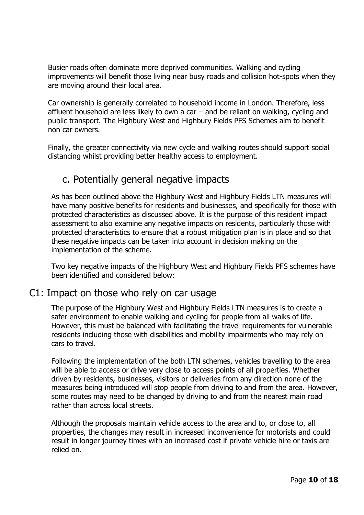Busier roads often dominate more deprived communities. Walking and cycling improvements will benefit those living near busy roads and collision hot-spots when they are moving around their local area.

Car ownership is generally correlated to household income in London. Therefore, less affluent household are less likely to own a car – and be reliant on walking, cycling and public transport. The Highbury West and Highbury Fields PFS Schemes aim to benefit non car owners.

Finally, the greater connectivity via new cycle and walking routes should support social distancing whilst providing better healthy access to employment.

# c. Potentially general negative impacts

As has been outlined above the Highbury West and Highbury Fields LTN measures will have many positive benefits for residents and businesses, and specifically for those with protected characteristics as discussed above. It is the purpose of this resident impact assessment to also examine any negative impacts on residents, particularly those with protected characteristics to ensure that a robust mitigation plan is in place and so that these negative impacts can be taken into account in decision making on the implementation of the scheme.

Two key negative impacts of the Highbury West and Highbury Fields PFS schemes have been identified and considered below:

# C1: Impact on those who rely on car usage

The purpose of the Highbury West and Highbury Fields LTN measures is to create a safer environment to enable walking and cycling for people from all walks of life. However, this must be balanced with facilitating the travel requirements for vulnerable residents including those with disabilities and mobility impairments who may rely on cars to travel.

Following the implementation of the both LTN schemes, vehicles travelling to the area will be able to access or drive very close to access points of all properties. Whether driven by residents, businesses, visitors or deliveries from any direction none of the measures being introduced will stop people from driving to and from the area. However, some routes may need to be changed by driving to and from the nearest main road rather than across local streets.

Although the proposals maintain vehicle access to the area and to, or close to, all properties, the changes may result in increased inconvenience for motorists and could result in longer journey times with an increased cost if private vehicle hire or taxis are relied on.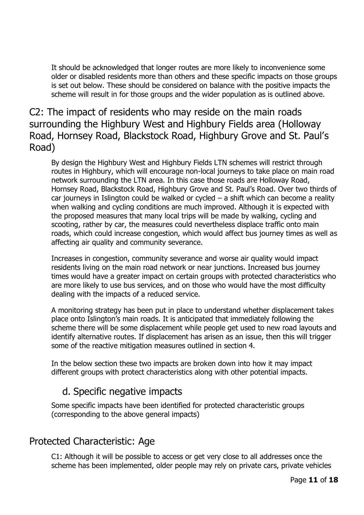It should be acknowledged that longer routes are more likely to inconvenience some older or disabled residents more than others and these specific impacts on those groups is set out below. These should be considered on balance with the positive impacts the scheme will result in for those groups and the wider population as is outlined above.

# C2: The impact of residents who may reside on the main roads surrounding the Highbury West and Highbury Fields area (Holloway Road, Hornsey Road, Blackstock Road, Highbury Grove and St. Paul's Road)

By design the Highbury West and Highbury Fields LTN schemes will restrict through routes in Highbury, which will encourage non-local journeys to take place on main road network surrounding the LTN area. In this case those roads are Holloway Road, Hornsey Road, Blackstock Road, Highbury Grove and St. Paul's Road. Over two thirds of car journeys in Islington could be walked or cycled  $-$  a shift which can become a reality when walking and cycling conditions are much improved. Although it is expected with the proposed measures that many local trips will be made by walking, cycling and scooting, rather by car, the measures could nevertheless displace traffic onto main roads, which could increase congestion, which would affect bus journey times as well as affecting air quality and community severance.

Increases in congestion, community severance and worse air quality would impact residents living on the main road network or near junctions. Increased bus journey times would have a greater impact on certain groups with protected characteristics who are more likely to use bus services, and on those who would have the most difficulty dealing with the impacts of a reduced service.

A monitoring strategy has been put in place to understand whether displacement takes place onto Islington's main roads. It is anticipated that immediately following the scheme there will be some displacement while people get used to new road layouts and identify alternative routes. If displacement has arisen as an issue, then this will trigger some of the reactive mitigation measures outlined in section 4.

In the below section these two impacts are broken down into how it may impact different groups with protect characteristics along with other potential impacts.

# d. Specific negative impacts

Some specific impacts have been identified for protected characteristic groups (corresponding to the above general impacts)

# Protected Characteristic: Age

C1: Although it will be possible to access or get very close to all addresses once the scheme has been implemented, older people may rely on private cars, private vehicles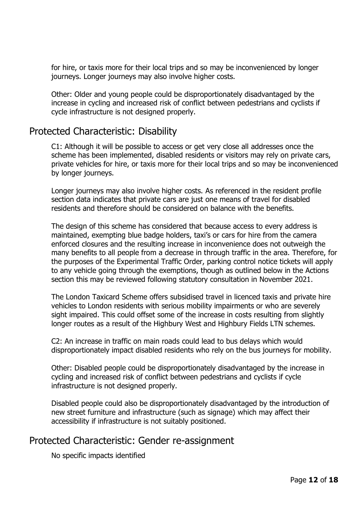for hire, or taxis more for their local trips and so may be inconvenienced by longer journeys. Longer journeys may also involve higher costs.

Other: Older and young people could be disproportionately disadvantaged by the increase in cycling and increased risk of conflict between pedestrians and cyclists if cycle infrastructure is not designed properly.

### Protected Characteristic: Disability

C1: Although it will be possible to access or get very close all addresses once the scheme has been implemented, disabled residents or visitors may rely on private cars, private vehicles for hire, or taxis more for their local trips and so may be inconvenienced by longer journeys.

Longer journeys may also involve higher costs. As referenced in the resident profile section data indicates that private cars are just one means of travel for disabled residents and therefore should be considered on balance with the benefits.

The design of this scheme has considered that because access to every address is maintained, exempting blue badge holders, taxi's or cars for hire from the camera enforced closures and the resulting increase in inconvenience does not outweigh the many benefits to all people from a decrease in through traffic in the area. Therefore, for the purposes of the Experimental Traffic Order, parking control notice tickets will apply to any vehicle going through the exemptions, though as outlined below in the Actions section this may be reviewed following statutory consultation in November 2021.

The London Taxicard Scheme offers subsidised travel in licenced taxis and private hire vehicles to London residents with serious mobility impairments or who are severely sight impaired. This could offset some of the increase in costs resulting from slightly longer routes as a result of the Highbury West and Highbury Fields LTN schemes.

C2: An increase in traffic on main roads could lead to bus delays which would disproportionately impact disabled residents who rely on the bus journeys for mobility.

Other: Disabled people could be disproportionately disadvantaged by the increase in cycling and increased risk of conflict between pedestrians and cyclists if cycle infrastructure is not designed properly.

Disabled people could also be disproportionately disadvantaged by the introduction of new street furniture and infrastructure (such as signage) which may affect their accessibility if infrastructure is not suitably positioned.

### Protected Characteristic: Gender re-assignment

No specific impacts identified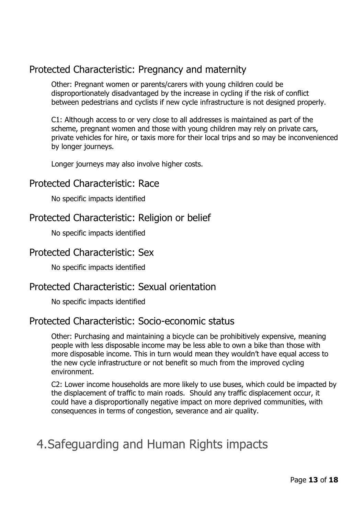# Protected Characteristic: Pregnancy and maternity

Other: Pregnant women or parents/carers with young children could be disproportionately disadvantaged by the increase in cycling if the risk of conflict between pedestrians and cyclists if new cycle infrastructure is not designed properly.

C1: Although access to or very close to all addresses is maintained as part of the scheme, pregnant women and those with young children may rely on private cars, private vehicles for hire, or taxis more for their local trips and so may be inconvenienced by longer journeys.

Longer journeys may also involve higher costs.

#### Protected Characteristic: Race

No specific impacts identified

### Protected Characteristic: Religion or belief

No specific impacts identified

### Protected Characteristic: Sex

No specific impacts identified

### Protected Characteristic: Sexual orientation

No specific impacts identified

### Protected Characteristic: Socio-economic status

Other: Purchasing and maintaining a bicycle can be prohibitively expensive, meaning people with less disposable income may be less able to own a bike than those with more disposable income. This in turn would mean they wouldn't have equal access to the new cycle infrastructure or not benefit so much from the improved cycling environment.

C2: Lower income households are more likely to use buses, which could be impacted by the displacement of traffic to main roads. Should any traffic displacement occur, it could have a disproportionally negative impact on more deprived communities, with consequences in terms of congestion, severance and air quality.

# 4.Safeguarding and Human Rights impacts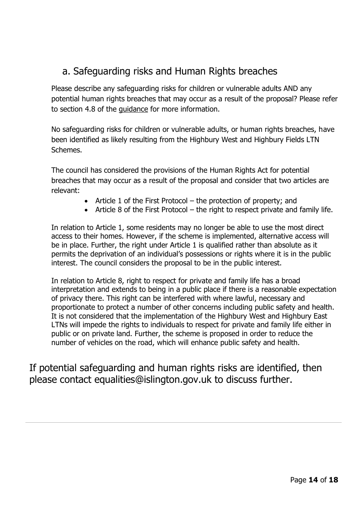# a. Safeguarding risks and Human Rights breaches

Please describe any safeguarding risks for children or vulnerable adults AND any potential human rights breaches that may occur as a result of the proposal? Please refer to section 4.8 of the guidance for more information.

No safeguarding risks for children or vulnerable adults, or human rights breaches, have been identified as likely resulting from the Highbury West and Highbury Fields LTN Schemes.

The council has considered the provisions of the Human Rights Act for potential breaches that may occur as a result of the proposal and consider that two articles are relevant:

- Article 1 of the First Protocol the protection of property; and
- Article 8 of the First Protocol the right to respect private and family life.

In relation to Article 1, some residents may no longer be able to use the most direct access to their homes. However, if the scheme is implemented, alternative access will be in place. Further, the right under Article 1 is qualified rather than absolute as it permits the deprivation of an individual's possessions or rights where it is in the public interest. The council considers the proposal to be in the public interest.

In relation to Article 8, right to respect for private and family life has a broad interpretation and extends to being in a public place if there is a reasonable expectation of privacy there. This right can be interfered with where lawful, necessary and proportionate to protect a number of other concerns including public safety and health. It is not considered that the implementation of the Highbury West and Highbury East LTNs will impede the rights to individuals to respect for private and family life either in public or on private land. Further, the scheme is proposed in order to reduce the number of vehicles on the road, which will enhance public safety and health.

If potential safeguarding and human rights risks are identified, then please contact equalities@islington.gov.uk to discuss further.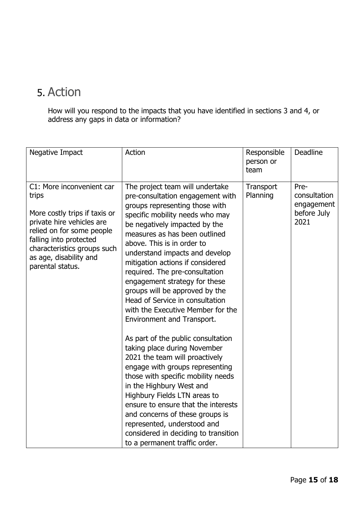# 5. Action

How will you respond to the impacts that you have identified in sections 3 and 4, or address any gaps in data or information?

| Negative Impact                                                                                                                                                                                                                      | Action                                                                                                                                                                                                                                                                                                                                                                                                                                                                                                                                                                                                                                                                                                                                                                                                                                                                                                                                                   | Responsible<br>person or<br>team | <b>Deadline</b>                                           |
|--------------------------------------------------------------------------------------------------------------------------------------------------------------------------------------------------------------------------------------|----------------------------------------------------------------------------------------------------------------------------------------------------------------------------------------------------------------------------------------------------------------------------------------------------------------------------------------------------------------------------------------------------------------------------------------------------------------------------------------------------------------------------------------------------------------------------------------------------------------------------------------------------------------------------------------------------------------------------------------------------------------------------------------------------------------------------------------------------------------------------------------------------------------------------------------------------------|----------------------------------|-----------------------------------------------------------|
| C1: More inconvenient car<br>trips<br>More costly trips if taxis or<br>private hire vehicles are<br>relied on for some people<br>falling into protected<br>characteristics groups such<br>as age, disability and<br>parental status. | The project team will undertake<br>pre-consultation engagement with<br>groups representing those with<br>specific mobility needs who may<br>be negatively impacted by the<br>measures as has been outlined<br>above. This is in order to<br>understand impacts and develop<br>mitigation actions if considered<br>required. The pre-consultation<br>engagement strategy for these<br>groups will be approved by the<br>Head of Service in consultation<br>with the Executive Member for the<br>Environment and Transport.<br>As part of the public consultation<br>taking place during November<br>2021 the team will proactively<br>engage with groups representing<br>those with specific mobility needs<br>in the Highbury West and<br>Highbury Fields LTN areas to<br>ensure to ensure that the interests<br>and concerns of these groups is<br>represented, understood and<br>considered in deciding to transition<br>to a permanent traffic order. | Transport<br>Planning            | Pre-<br>consultation<br>engagement<br>before July<br>2021 |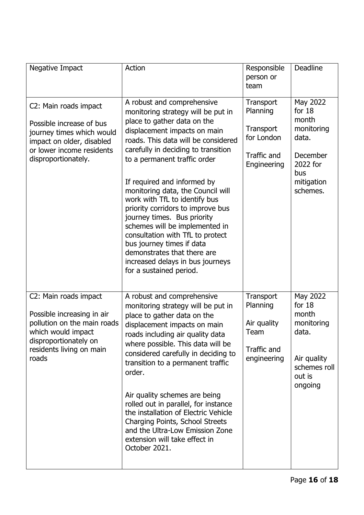| Negative Impact                                                                                                                                                        | Action                                                                                                                                                                                                                                                                                                                                                                                                                                                                                                                                                                                                                  | Responsible<br>person or<br>team                                               | Deadline                                                                                                      |
|------------------------------------------------------------------------------------------------------------------------------------------------------------------------|-------------------------------------------------------------------------------------------------------------------------------------------------------------------------------------------------------------------------------------------------------------------------------------------------------------------------------------------------------------------------------------------------------------------------------------------------------------------------------------------------------------------------------------------------------------------------------------------------------------------------|--------------------------------------------------------------------------------|---------------------------------------------------------------------------------------------------------------|
| C2: Main roads impact<br>Possible increase of bus<br>journey times which would<br>impact on older, disabled<br>or lower income residents<br>disproportionately.        | A robust and comprehensive<br>monitoring strategy will be put in<br>place to gather data on the<br>displacement impacts on main<br>roads. This data will be considered<br>carefully in deciding to transition<br>to a permanent traffic order<br>If required and informed by<br>monitoring data, the Council will<br>work with TfL to identify bus<br>priority corridors to improve bus<br>journey times. Bus priority<br>schemes will be implemented in<br>consultation with TfL to protect<br>bus journey times if data<br>demonstrates that there are<br>increased delays in bus journeys<br>for a sustained period. | Transport<br>Planning<br>Transport<br>for London<br>Traffic and<br>Engineering | May 2022<br>for $18$<br>month<br>monitoring<br>data.<br>December<br>2022 for<br>bus<br>mitigation<br>schemes. |
| C2: Main roads impact<br>Possible increasing in air<br>pollution on the main roads<br>which would impact<br>disproportionately on<br>residents living on main<br>roads | A robust and comprehensive<br>monitoring strategy will be put in<br>place to gather data on the<br>displacement impacts on main<br>roads including air quality data<br>where possible. This data will be<br>considered carefully in deciding to<br>transition to a permanent traffic<br>order.<br>Air quality schemes are being<br>rolled out in parallel, for instance<br>the installation of Electric Vehicle<br>Charging Points, School Streets<br>and the Ultra-Low Emission Zone<br>extension will take effect in<br>October 2021.                                                                                 | Transport<br>Planning<br>Air quality<br>Team<br>Traffic and<br>engineering     | May 2022<br>for $18$<br>month<br>monitoring<br>data.<br>Air quality<br>schemes roll<br>out is<br>ongoing      |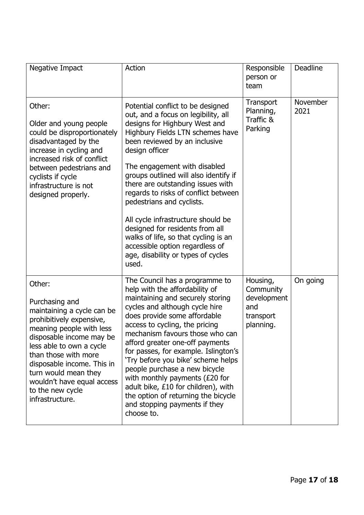| Negative Impact                                                                                                                                                                                                                                                                                                           | Action                                                                                                                                                                                                                                                                                                                                                                                                                                                                                                                                                                                 | Responsible<br>person or<br>team                                      | <b>Deadline</b>  |
|---------------------------------------------------------------------------------------------------------------------------------------------------------------------------------------------------------------------------------------------------------------------------------------------------------------------------|----------------------------------------------------------------------------------------------------------------------------------------------------------------------------------------------------------------------------------------------------------------------------------------------------------------------------------------------------------------------------------------------------------------------------------------------------------------------------------------------------------------------------------------------------------------------------------------|-----------------------------------------------------------------------|------------------|
| Other:<br>Older and young people<br>could be disproportionately<br>disadvantaged by the<br>increase in cycling and<br>increased risk of conflict<br>between pedestrians and<br>cyclists if cycle<br>infrastructure is not<br>designed properly.                                                                           | Potential conflict to be designed<br>out, and a focus on legibility, all<br>designs for Highbury West and<br>Highbury Fields LTN schemes have<br>been reviewed by an inclusive<br>design officer<br>The engagement with disabled<br>groups outlined will also identify if<br>there are outstanding issues with<br>regards to risks of conflict between<br>pedestrians and cyclists.<br>All cycle infrastructure should be<br>designed for residents from all<br>walks of life, so that cycling is an<br>accessible option regardless of<br>age, disability or types of cycles<br>used. | Transport<br>Planning,<br>Traffic &<br>Parking                        | November<br>2021 |
| Other:<br>Purchasing and<br>maintaining a cycle can be<br>prohibitively expensive,<br>meaning people with less<br>disposable income may be<br>less able to own a cycle<br>than those with more<br>disposable income. This in<br>turn would mean they<br>wouldn't have equal access<br>to the new cycle<br>infrastructure. | The Council has a programme to<br>help with the affordability of<br>maintaining and securely storing<br>cycles and although cycle hire<br>does provide some affordable<br>access to cycling, the pricing<br>mechanism favours those who can<br>afford greater one-off payments<br>for passes, for example. Islington's<br>'Try before you bike' scheme helps<br>people purchase a new bicycle<br>with monthly payments $(E20$ for<br>adult bike, £10 for children), with<br>the option of returning the bicycle<br>and stopping payments if they<br>choose to.                         | Housing,<br>Community<br>development<br>and<br>transport<br>planning. | On going         |